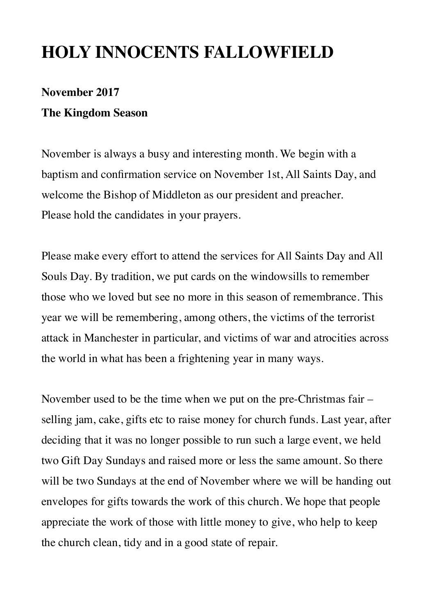# **HOLY INNOCENTS FALLOWFIELD**

# **November 2017 The Kingdom Season**

November is always a busy and interesting month. We begin with a baptism and confirmation service on November 1st, All Saints Day, and welcome the Bishop of Middleton as our president and preacher. Please hold the candidates in your prayers.

Please make every effort to attend the services for All Saints Day and All Souls Day. By tradition, we put cards on the windowsills to remember those who we loved but see no more in this season of remembrance. This year we will be remembering, among others, the victims of the terrorist attack in Manchester in particular, and victims of war and atrocities across the world in what has been a frightening year in many ways.

November used to be the time when we put on the pre-Christmas fair – selling jam, cake, gifts etc to raise money for church funds. Last year, after deciding that it was no longer possible to run such a large event, we held two Gift Day Sundays and raised more or less the same amount. So there will be two Sundays at the end of November where we will be handing out envelopes for gifts towards the work of this church. We hope that people appreciate the work of those with little money to give, who help to keep the church clean, tidy and in a good state of repair.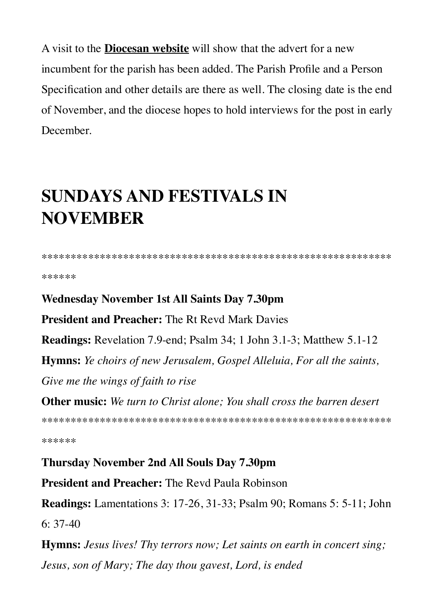A visit to the **Diocesan website** will show that the advert for a new incumbent for the parish has been added. The Parish Profile and a Person Specification and other details are there as well. The closing date is the end of November, and the diocese hopes to hold interviews for the post in early December.

# **SUNDAYS AND FESTIVALS IN NOVEMBER**

\*\*\*\*\*\*

#### **Wednesday November 1st All Saints Day 7.30pm**

**President and Preacher:** The Rt Revd Mark Davies

**Readings:** Revelation 7.9-end; Psalm 34; 1 John 3.1-3; Matthew 5.1-12

**Hymns:** Ye choirs of new Jerusalem, Gospel Alleluia, For all the saints,

Give me the wings of faith to rise

**Other music:** We turn to Christ alone: You shall cross the barren desert

\*\*\*\*\*\*

**Thursday November 2nd All Souls Day 7.30pm** 

**President and Preacher:** The Revd Paula Robinson

**Readings:** Lamentations 3: 17-26, 31-33; Psalm 90; Romans 5: 5-11; John  $6: 37-40$ 

**Hymns:** Jesus lives! Thy terrors now; Let saints on earth in concert sing; Jesus, son of Mary; The day thou gavest, Lord, is ended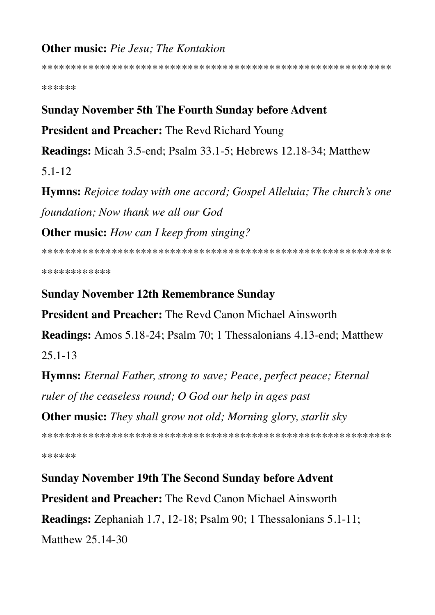# Other music: Pie Jesu; The Kontakion

\*\*\*\*\*\*

### **Sunday November 5th The Fourth Sunday before Advent**

### **President and Preacher: The Revd Richard Young**

**Readings:** Micah 3.5-end: Psalm 33.1-5: Hebrews 12.18-34: Matthew

 $5.1 - 12$ 

**Hymns:** Rejoice today with one accord; Gospel Alleluia; The church's one foundation: Now thank we all our God

**Other music:** How can I keep from singing?

\*\*\*\*\*\*\*\*\*\*\*\*

#### **Sunday November 12th Remembrance Sunday**

**President and Preacher:** The Revd Canon Michael Ainsworth

**Readings:** Amos 5.18-24; Psalm 70; 1 Thessalonians 4.13-end; Matthew

 $25.1 - 13$ 

**Hymns:** Eternal Father, strong to save; Peace, perfect peace; Eternal ruler of the ceaseless round; O God our help in ages past

**Other music:** They shall grow not old; Morning glory, starlit sky

\*\*\*\*\*\*

## **Sunday November 19th The Second Sunday before Advent**

**President and Preacher:** The Revd Canon Michael Ainsworth

**Readings:** Zephaniah 1.7, 12-18; Psalm 90; 1 Thessalonians 5.1-11; Matthew 25,14-30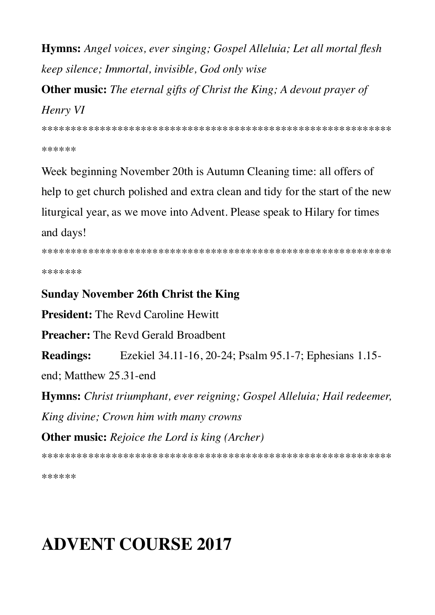Hymns: Angel voices, ever singing; Gospel Alleluia; Let all mortal flesh keep silence; Immortal, invisible, God only wise

**Other music:** The eternal gifts of Christ the King; A devout prayer of

# Henry VI

\*\*\*\*\*\*

Week beginning November 20th is Autumn Cleaning time: all offers of help to get church polished and extra clean and tidy for the start of the new liturgical year, as we move into Advent. Please speak to Hilary for times and days!

\*\*\*\*\*\*\*

## **Sunday November 26th Christ the King**

**President:** The Revd Caroline Hewitt

**Preacher:** The Revd Gerald Broadbent

Ezekiel 34.11-16, 20-24; Psalm 95.1-7; Ephesians 1.15-**Readings:** 

end: Matthew 25.31-end

Hymns: Christ triumphant, ever reigning; Gospel Alleluia; Hail redeemer, King divine; Crown him with many crowns **Other music:** Rejoice the Lord is king (Archer)

\*\*\*\*\*\*

# **ADVENT COURSE 2017**